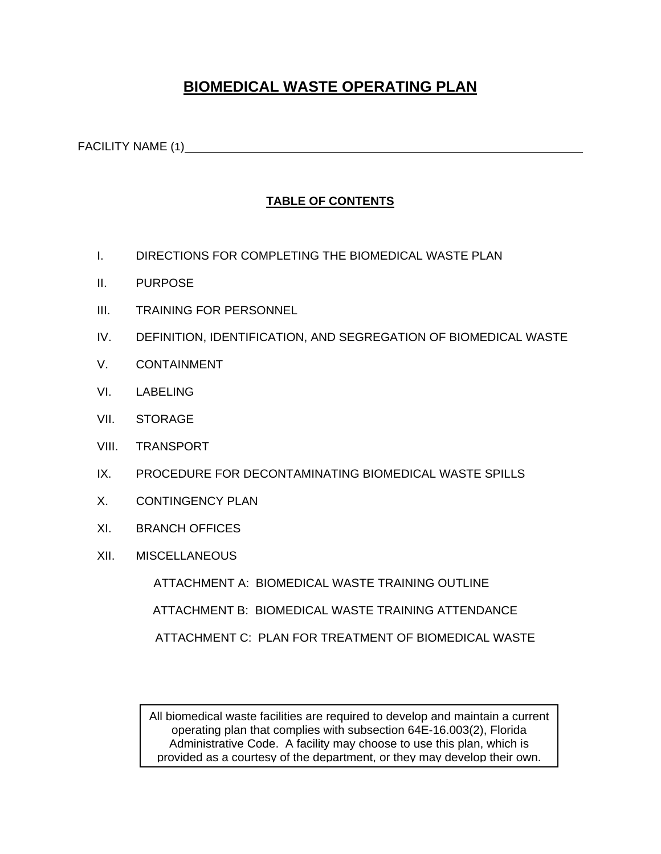# **BIOMEDICAL WASTE OPERATING PLAN**

FACILITY NAME (1) SALE AND THE CONTROLLER SERVICE SERVICE SERVICE SERVICE SERVICE SERVICE SERVICE SERVICE SERVICE SERVICE SERVICE SERVICE SERVICE SERVICE SERVICE SERVICE SERVICE SERVICE SERVICE SERVICE SERVICE SERVICE SERV

## **TABLE OF CONTENTS**

- I. DIRECTIONS FOR COMPLETING THE BIOMEDICAL WASTE PLAN
- II. PURPOSE
- III. TRAINING FOR PERSONNEL
- IV. DEFINITION, IDENTIFICATION, AND SEGREGATION OF BIOMEDICAL WASTE
- V. CONTAINMENT
- VI. LABELING
- VII. STORAGE
- VIII. TRANSPORT
- IX. PROCEDURE FOR DECONTAMINATING BIOMEDICAL WASTE SPILLS
- X. CONTINGENCY PLAN
- XI. BRANCH OFFICES
- XII. MISCELLANEOUS

 ATTACHMENT A: BIOMEDICAL WASTE TRAINING OUTLINE ATTACHMENT B: BIOMEDICAL WASTE TRAINING ATTENDANCE ATTACHMENT C: PLAN FOR TREATMENT OF BIOMEDICAL WASTE

All biomedical waste facilities are required to develop and maintain a current operating plan that complies with subsection 64E-16.003(2), Florida Administrative Code. A facility may choose to use this plan, which is provided as a courtesy of the department, or they may develop their own.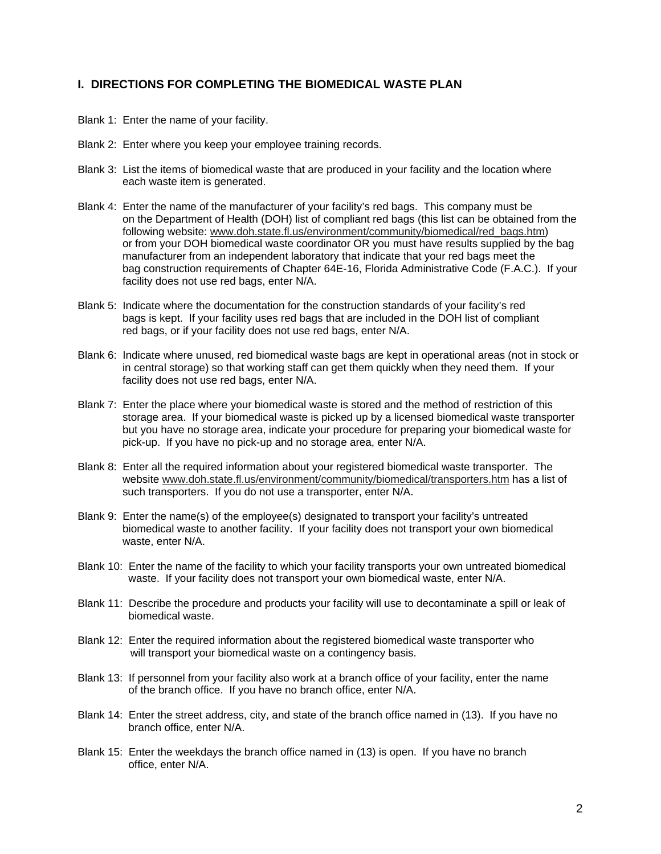### **I. DIRECTIONS FOR COMPLETING THE BIOMEDICAL WASTE PLAN**

- Blank 1: Enter the name of your facility.
- Blank 2: Enter where you keep your employee training records.
- Blank 3: List the items of biomedical waste that are produced in your facility and the location where each waste item is generated.
- Blank 4: Enter the name of the manufacturer of your facility's red bags. This company must be on the Department of Health (DOH) list of compliant red bags (this list can be obtained from the following website: www.doh.state.fl.us/environment/community/biomedical/red\_bags.htm) or from your DOH biomedical waste coordinator OR you must have results supplied by the bag manufacturer from an independent laboratory that indicate that your red bags meet the bag construction requirements of Chapter 64E-16, Florida Administrative Code (F.A.C.). If your facility does not use red bags, enter N/A.
- Blank 5: Indicate where the documentation for the construction standards of your facility's red bags is kept. If your facility uses red bags that are included in the DOH list of compliant red bags, or if your facility does not use red bags, enter N/A.
- Blank 6: Indicate where unused, red biomedical waste bags are kept in operational areas (not in stock or in central storage) so that working staff can get them quickly when they need them. If your facility does not use red bags, enter N/A.
- Blank 7: Enter the place where your biomedical waste is stored and the method of restriction of this storage area. If your biomedical waste is picked up by a licensed biomedical waste transporter but you have no storage area, indicate your procedure for preparing your biomedical waste for pick-up. If you have no pick-up and no storage area, enter N/A.
- Blank 8: Enter all the required information about your registered biomedical waste transporter. The website www.doh.state.fl.us/environment/community/biomedical/transporters.htm has a list of such transporters. If you do not use a transporter, enter N/A.
- Blank 9: Enter the name(s) of the employee(s) designated to transport your facility's untreated biomedical waste to another facility. If your facility does not transport your own biomedical waste, enter N/A.
- Blank 10: Enter the name of the facility to which your facility transports your own untreated biomedical waste. If your facility does not transport your own biomedical waste, enter N/A.
- Blank 11: Describe the procedure and products your facility will use to decontaminate a spill or leak of biomedical waste.
- Blank 12: Enter the required information about the registered biomedical waste transporter who will transport your biomedical waste on a contingency basis.
- Blank 13: If personnel from your facility also work at a branch office of your facility, enter the name of the branch office. If you have no branch office, enter N/A.
- Blank 14: Enter the street address, city, and state of the branch office named in (13). If you have no branch office, enter N/A.
- Blank 15: Enter the weekdays the branch office named in (13) is open. If you have no branch office, enter N/A.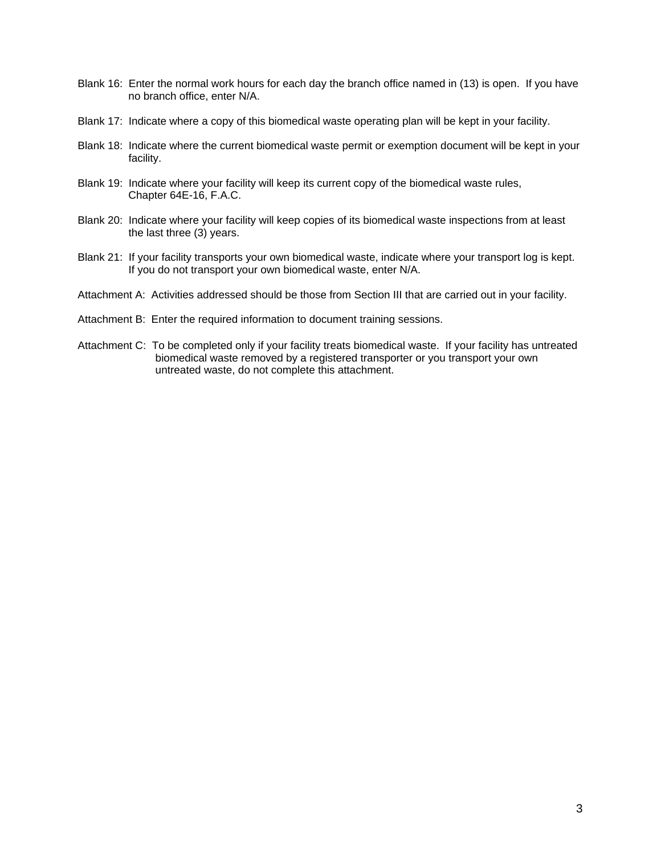- Blank 16: Enter the normal work hours for each day the branch office named in (13) is open. If you have no branch office, enter N/A.
- Blank 17: Indicate where a copy of this biomedical waste operating plan will be kept in your facility.
- Blank 18: Indicate where the current biomedical waste permit or exemption document will be kept in your facility.
- Blank 19: Indicate where your facility will keep its current copy of the biomedical waste rules, Chapter 64E-16, F.A.C.
- Blank 20: Indicate where your facility will keep copies of its biomedical waste inspections from at least the last three (3) years.
- Blank 21: If your facility transports your own biomedical waste, indicate where your transport log is kept. If you do not transport your own biomedical waste, enter N/A.
- Attachment A: Activities addressed should be those from Section III that are carried out in your facility.
- Attachment B: Enter the required information to document training sessions.
- Attachment C: To be completed only if your facility treats biomedical waste. If your facility has untreated biomedical waste removed by a registered transporter or you transport your own untreated waste, do not complete this attachment.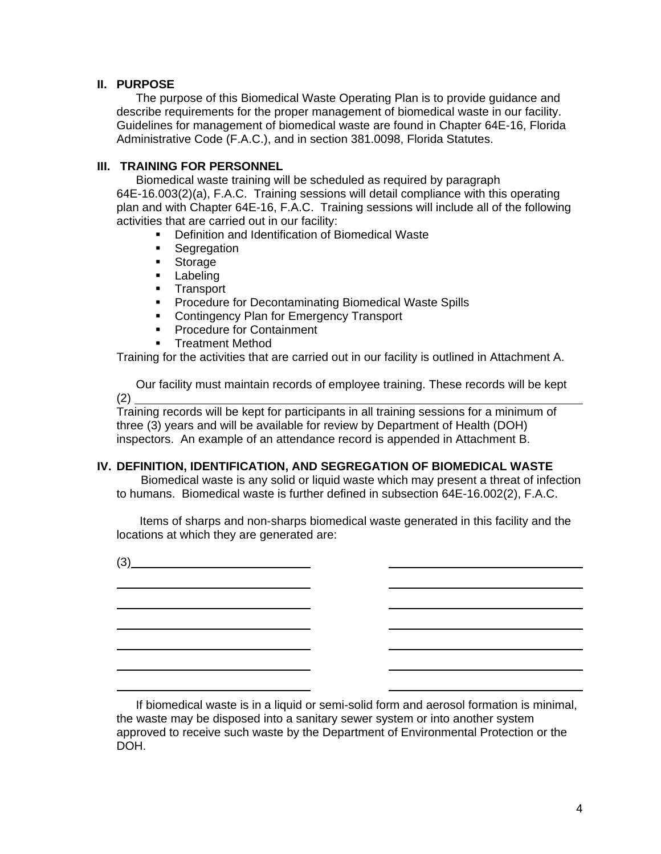## **II. PURPOSE**

The purpose of this Biomedical Waste Operating Plan is to provide guidance and describe requirements for the proper management of biomedical waste in our facility. Guidelines for management of biomedical waste are found in Chapter 64E-16, Florida Administrative Code (F.A.C.), and in section 381.0098, Florida Statutes.

## **III. TRAINING FOR PERSONNEL**

Biomedical waste training will be scheduled as required by paragraph 64E-16.003(2)(a), F.A.C. Training sessions will detail compliance with this operating plan and with Chapter 64E-16, F.A.C. Training sessions will include all of the following activities that are carried out in our facility:

- Definition and Identification of Biomedical Waste
- **Segregation**
- **Storage**
- **Labeling**
- **Transport**
- **Procedure for Decontaminating Biomedical Waste Spills**
- **Contingency Plan for Emergency Transport**
- **Procedure for Containment**
- **Treatment Method**

Training for the activities that are carried out in our facility is outlined in Attachment A.

Our facility must maintain records of employee training. These records will be kept (2)

Training records will be kept for participants in all training sessions for a minimum of three (3) years and will be available for review by Department of Health (DOH) inspectors. An example of an attendance record is appended in Attachment B.

#### **IV. DEFINITION, IDENTIFICATION, AND SEGREGATION OF BIOMEDICAL WASTE**

 Biomedical waste is any solid or liquid waste which may present a threat of infection to humans. Biomedical waste is further defined in subsection 64E-16.002(2), F.A.C.

 Items of sharps and non-sharps biomedical waste generated in this facility and the locations at which they are generated are:

(3)

<u> 1990 - Johann Barbara, martin a</u>

L  $\overline{a}$  $\overline{a}$  $\overline{a}$  $\overline{a}$ L

 If biomedical waste is in a liquid or semi-solid form and aerosol formation is minimal, the waste may be disposed into a sanitary sewer system or into another system approved to receive such waste by the Department of Environmental Protection or the DOH.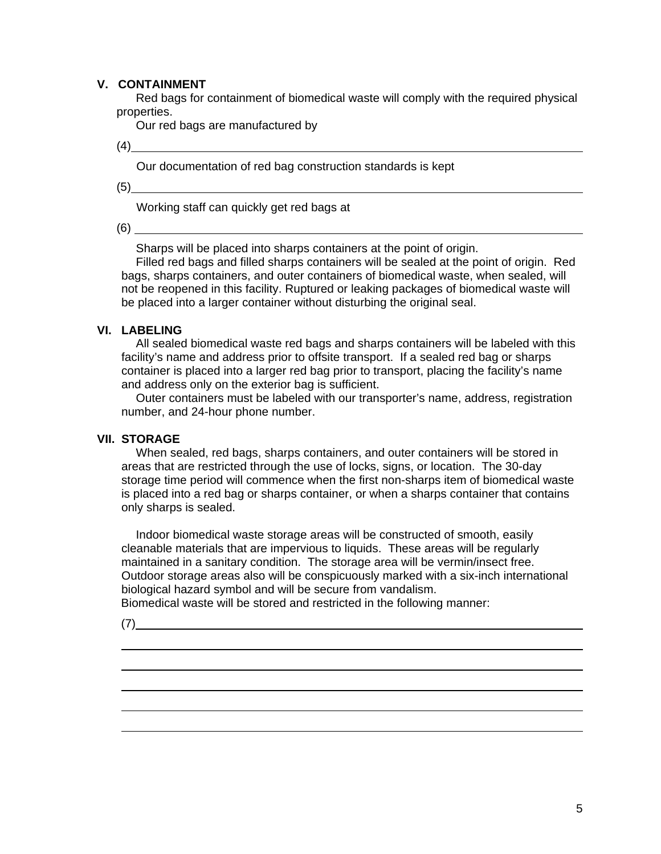## **V. CONTAINMENT**

Red bags for containment of biomedical waste will comply with the required physical properties.

Our red bags are manufactured by

(4)

Our documentation of red bag construction standards is kept

(5)

Working staff can quickly get red bags at

(6)

Sharps will be placed into sharps containers at the point of origin.

Filled red bags and filled sharps containers will be sealed at the point of origin. Red bags, sharps containers, and outer containers of biomedical waste, when sealed, will not be reopened in this facility. Ruptured or leaking packages of biomedical waste will be placed into a larger container without disturbing the original seal.

#### **VI. LABELING**

All sealed biomedical waste red bags and sharps containers will be labeled with this facility's name and address prior to offsite transport. If a sealed red bag or sharps container is placed into a larger red bag prior to transport, placing the facility's name and address only on the exterior bag is sufficient.

Outer containers must be labeled with our transporter's name, address, registration number, and 24-hour phone number.

## **VII. STORAGE**

When sealed, red bags, sharps containers, and outer containers will be stored in areas that are restricted through the use of locks, signs, or location. The 30-day storage time period will commence when the first non-sharps item of biomedical waste is placed into a red bag or sharps container, or when a sharps container that contains only sharps is sealed.

Indoor biomedical waste storage areas will be constructed of smooth, easily cleanable materials that are impervious to liquids. These areas will be regularly maintained in a sanitary condition. The storage area will be vermin/insect free. Outdoor storage areas also will be conspicuously marked with a six-inch international biological hazard symbol and will be secure from vandalism.

Biomedical waste will be stored and restricted in the following manner:

(7)

 $\overline{a}$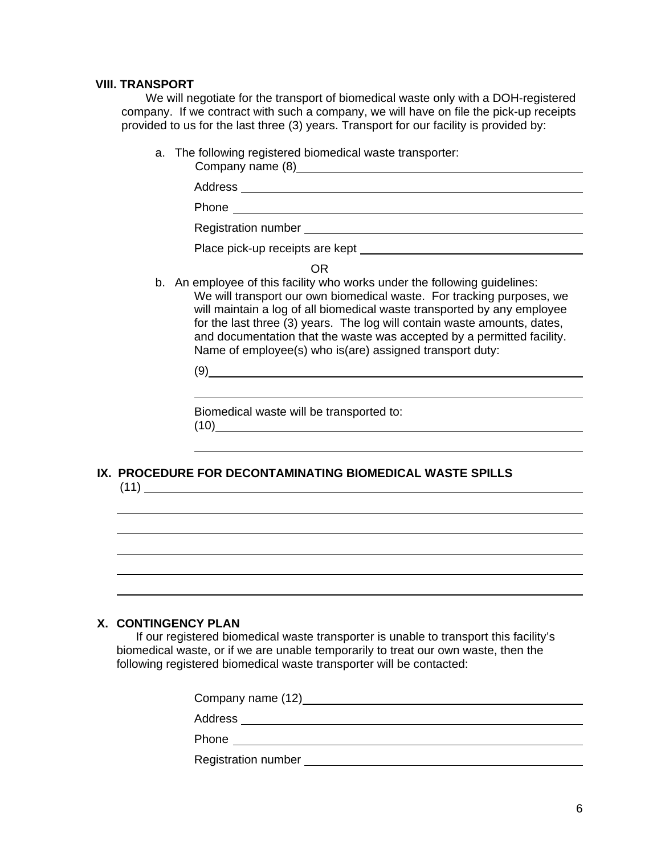#### **VIII. TRANSPORT**

We will negotiate for the transport of biomedical waste only with a DOH-registered company. If we contract with such a company, we will have on file the pick-up receipts provided to us for the last three (3) years. Transport for our facility is provided by:

a. The following registered biomedical waste transporter:

| Address                                                                                                                                                                                                                                                                                                                                                                                                                                         |
|-------------------------------------------------------------------------------------------------------------------------------------------------------------------------------------------------------------------------------------------------------------------------------------------------------------------------------------------------------------------------------------------------------------------------------------------------|
| <b>Phone Contract Phone</b><br><u> 1980 - Andrea Andrew Maria (h. 1980).</u>                                                                                                                                                                                                                                                                                                                                                                    |
| Registration number experience and the contract of the contract of the contract of the contract of the contract of the contract of the contract of the contract of the contract of the contract of the contract of the contrac                                                                                                                                                                                                                  |
| Place pick-up receipts are kept                                                                                                                                                                                                                                                                                                                                                                                                                 |
| 0R                                                                                                                                                                                                                                                                                                                                                                                                                                              |
| b. An employee of this facility who works under the following guidelines:<br>We will transport our own biomedical waste. For tracking purposes, we<br>will maintain a log of all biomedical waste transported by any employee<br>for the last three (3) years. The log will contain waste amounts, dates,<br>and documentation that the waste was accepted by a permitted facility.<br>Name of employee(s) who is(are) assigned transport duty: |
| (9                                                                                                                                                                                                                                                                                                                                                                                                                                              |

Biomedical waste will be transported to: (10)

#### **IX. PROCEDURE FOR DECONTAMINATING BIOMEDICAL WASTE SPILLS**  (11)

## **X. CONTINGENCY PLAN**

 $\overline{a}$ 

If our registered biomedical waste transporter is unable to transport this facility's biomedical waste, or if we are unable temporarily to treat our own waste, then the following registered biomedical waste transporter will be contacted:

| Company name (12) Company  |  |  |
|----------------------------|--|--|
| Address                    |  |  |
| Phone                      |  |  |
| <b>Registration number</b> |  |  |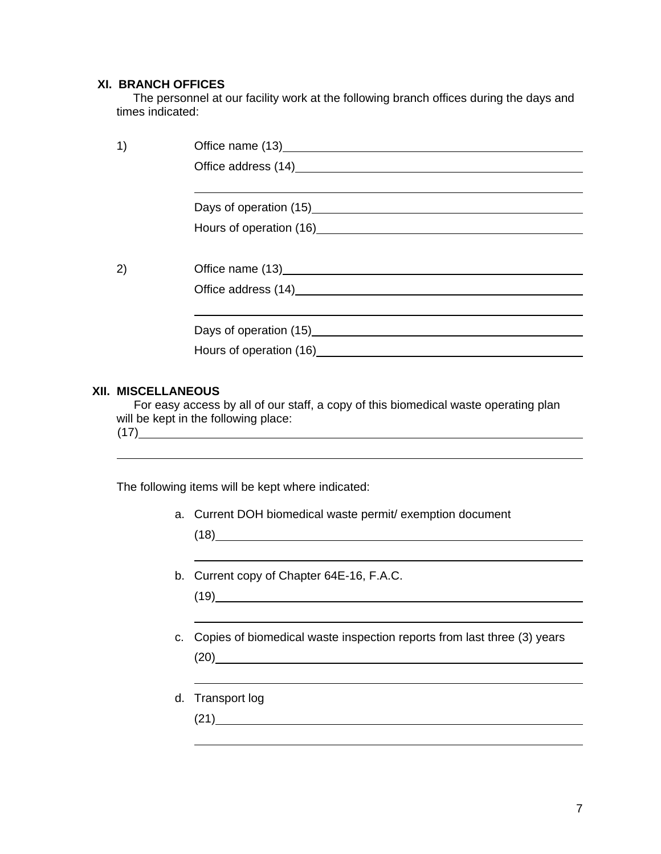### **XI. BRANCH OFFICES**

 The personnel at our facility work at the following branch offices during the days and times indicated:

|              | Hours of operation (16) Manual Property of the contract of the contract of the contract of the contract of the contract of the contract of the contract of the contract of the contract of the contract of the contract of the |
|--------------|--------------------------------------------------------------------------------------------------------------------------------------------------------------------------------------------------------------------------------|
|              |                                                                                                                                                                                                                                |
| $\mathbf{2}$ | Office name (13) <b>Container and Container and Container and Container and Container</b>                                                                                                                                      |
|              |                                                                                                                                                                                                                                |
|              |                                                                                                                                                                                                                                |
|              |                                                                                                                                                                                                                                |
|              | Hours of operation (16) Manual Property of the set of the set of the set of the set of the set of the set of the set of the set of the set of the set of the set of the set of the set of the set of the set of the set of the |
|              |                                                                                                                                                                                                                                |

## **XII. MISCELLANEOUS**

 For easy access by all of our staff, a copy of this biomedical waste operating plan will be kept in the following place: (17)

The following items will be kept where indicated:

a. Current DOH biomedical waste permit/ exemption document

(18)

 $\overline{a}$ 

 $\overline{a}$ 

L

L

b. Current copy of Chapter 64E-16, F.A.C.

(19)

c. Copies of biomedical waste inspection reports from last three (3) years

(20)

d. Transport log

(21)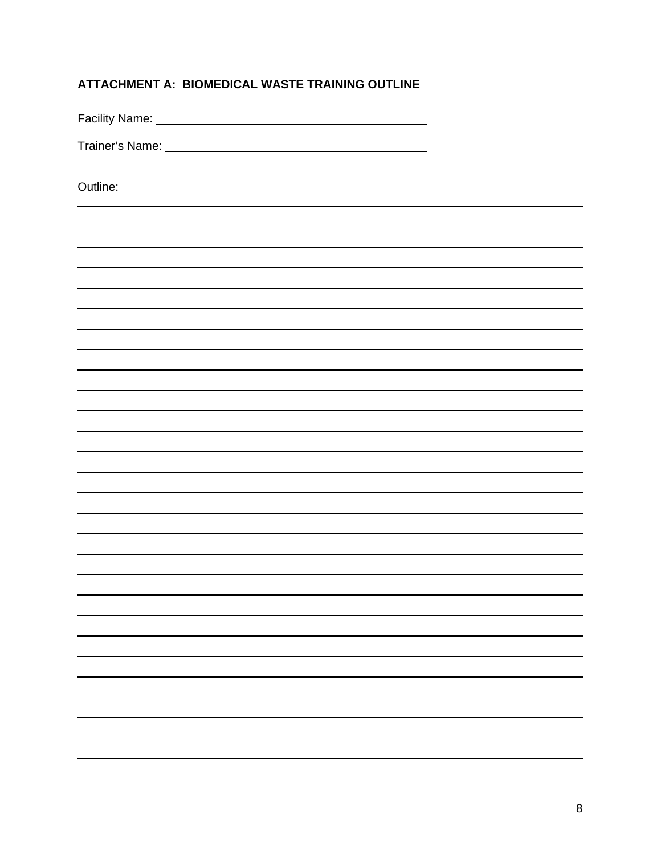| ATTACHMENT A: BIOMEDICAL WASTE TRAINING OUTLINE |  |  |
|-------------------------------------------------|--|--|
|                                                 |  |  |

Facility Name:

Trainer's Name:

Outline: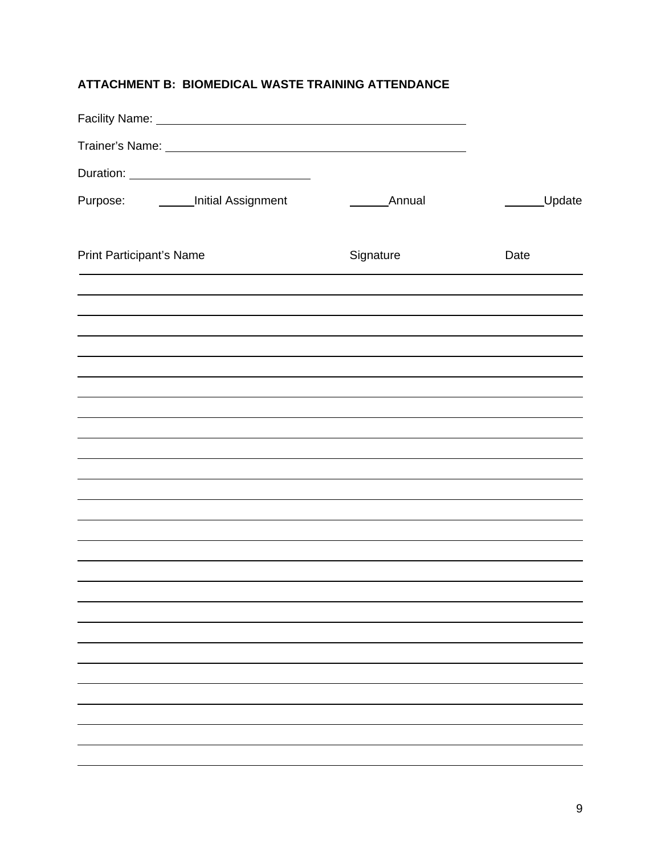## **ATTACHMENT B: BIOMEDICAL WASTE TRAINING ATTENDANCE**

| Facility Name: Manual Manual Manual Manual Manual Manual Manual Manual Manual Manual Manual Manual Manual Manu                                                                                                                     |               |        |
|------------------------------------------------------------------------------------------------------------------------------------------------------------------------------------------------------------------------------------|---------------|--------|
| Trainer's Name: <b>All and Scientification</b> and the set of the set of the set of the set of the set of the set of the set of the set of the set of the set of the set of the set of the set of the set of the set of the set of |               |        |
|                                                                                                                                                                                                                                    |               |        |
| Purpose: ________Initial Assignment                                                                                                                                                                                                | <b>Annual</b> | Update |
| <b>Print Participant's Name</b>                                                                                                                                                                                                    | Signature     | Date   |
|                                                                                                                                                                                                                                    |               |        |
|                                                                                                                                                                                                                                    |               |        |
|                                                                                                                                                                                                                                    |               |        |
|                                                                                                                                                                                                                                    |               |        |
|                                                                                                                                                                                                                                    |               |        |
|                                                                                                                                                                                                                                    |               |        |
|                                                                                                                                                                                                                                    |               |        |
|                                                                                                                                                                                                                                    |               |        |
|                                                                                                                                                                                                                                    |               |        |
|                                                                                                                                                                                                                                    |               |        |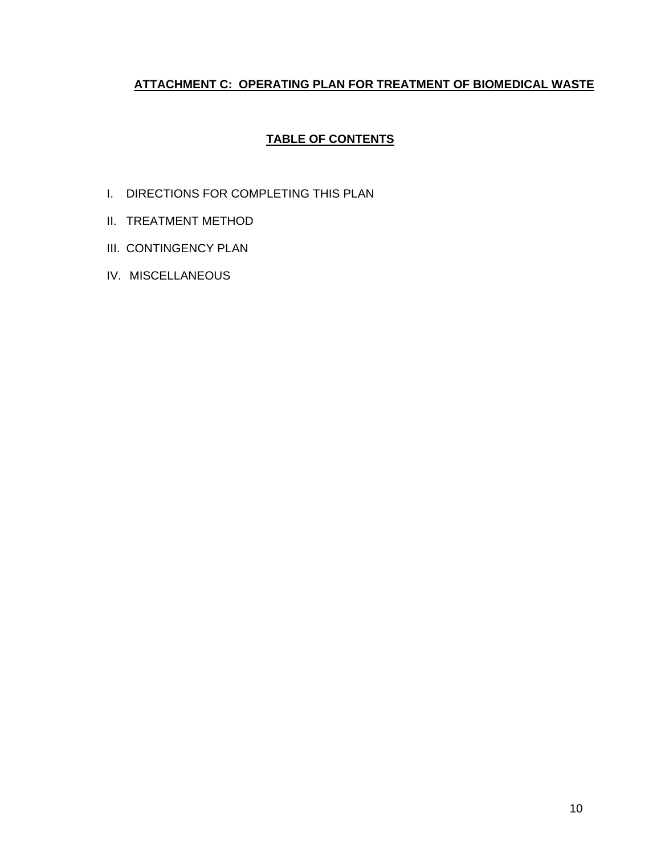## **ATTACHMENT C: OPERATING PLAN FOR TREATMENT OF BIOMEDICAL WASTE**

## **TABLE OF CONTENTS**

- I. DIRECTIONS FOR COMPLETING THIS PLAN
- II. TREATMENT METHOD
- III. CONTINGENCY PLAN
- IV. MISCELLANEOUS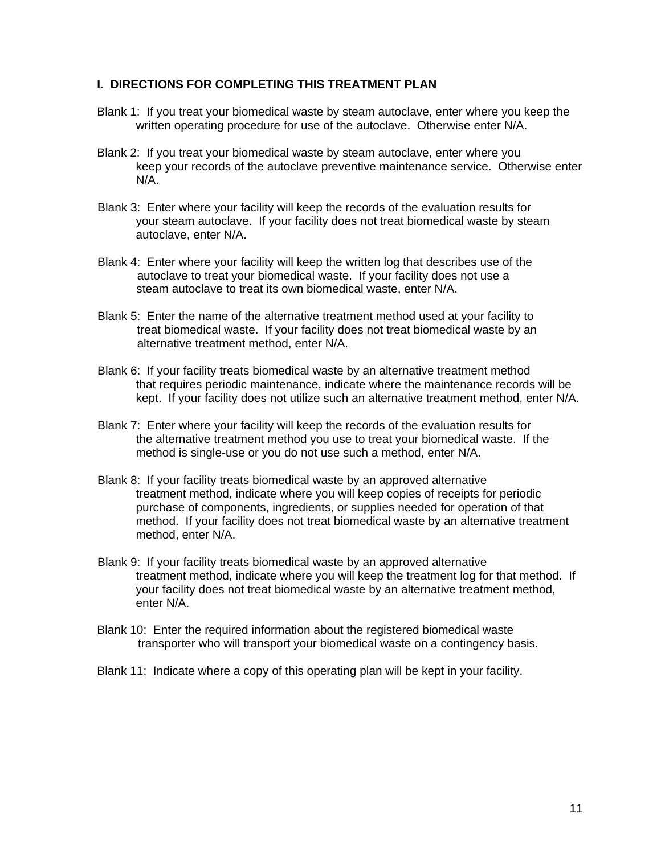#### **I. DIRECTIONS FOR COMPLETING THIS TREATMENT PLAN**

- Blank 1: If you treat your biomedical waste by steam autoclave, enter where you keep the written operating procedure for use of the autoclave. Otherwise enter N/A.
- Blank 2: If you treat your biomedical waste by steam autoclave, enter where you keep your records of the autoclave preventive maintenance service. Otherwise enter N/A.
- Blank 3: Enter where your facility will keep the records of the evaluation results for your steam autoclave. If your facility does not treat biomedical waste by steam autoclave, enter N/A.
- Blank 4: Enter where your facility will keep the written log that describes use of the autoclave to treat your biomedical waste. If your facility does not use a steam autoclave to treat its own biomedical waste, enter N/A.
- Blank 5: Enter the name of the alternative treatment method used at your facility to treat biomedical waste. If your facility does not treat biomedical waste by an alternative treatment method, enter N/A.
- Blank 6: If your facility treats biomedical waste by an alternative treatment method that requires periodic maintenance, indicate where the maintenance records will be kept. If your facility does not utilize such an alternative treatment method, enter N/A.
- Blank 7: Enter where your facility will keep the records of the evaluation results for the alternative treatment method you use to treat your biomedical waste. If the method is single-use or you do not use such a method, enter N/A.
- Blank 8: If your facility treats biomedical waste by an approved alternative treatment method, indicate where you will keep copies of receipts for periodic purchase of components, ingredients, or supplies needed for operation of that method. If your facility does not treat biomedical waste by an alternative treatment method, enter N/A.
- Blank 9: If your facility treats biomedical waste by an approved alternative treatment method, indicate where you will keep the treatment log for that method. If your facility does not treat biomedical waste by an alternative treatment method, enter N/A.
- Blank 10: Enter the required information about the registered biomedical waste transporter who will transport your biomedical waste on a contingency basis.
- Blank 11: Indicate where a copy of this operating plan will be kept in your facility.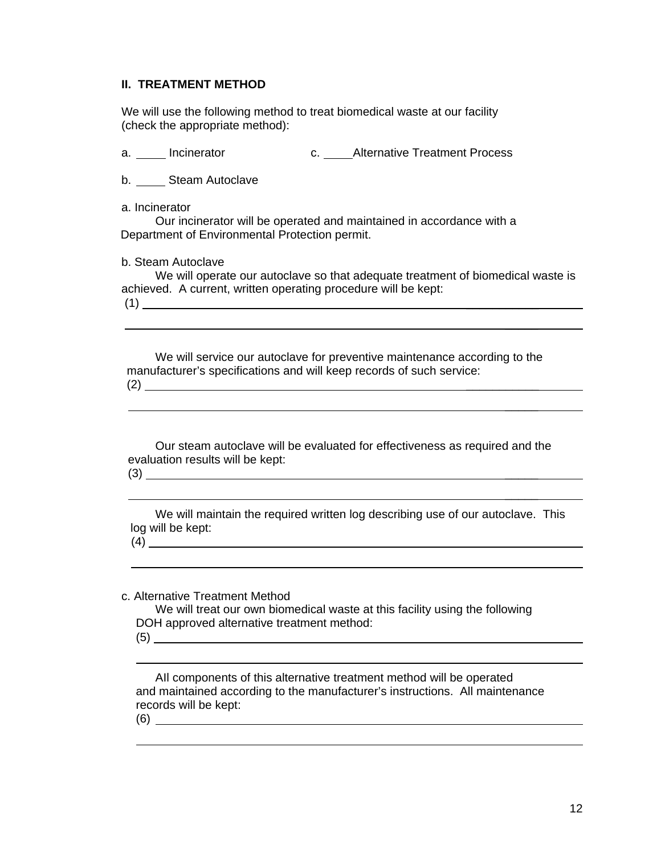## **II. TREATMENT METHOD**

 We will use the following method to treat biomedical waste at our facility (check the appropriate method):

a. incinerator and c. Alternative Treatment Process

b. Steam Autoclave

a. Incinerator

 Our incinerator will be operated and maintained in accordance with a Department of Environmental Protection permit.

 $\mathcal{L}_\text{max}$  and  $\mathcal{L}_\text{max}$  are the set of the set of the set of the set of the set of the set of the set of the set of the set of the set of the set of the set of the set of the set of the set of the set of the set o

 $\mathcal{L}_\text{max}$  . The contract of the contract of the contract of the contract of the contract of the contract of

 $\mathcal{L}_\text{max}$  . The contract of the contract of the contract of the contract of the contract of the contract of

b. Steam Autoclave

 We will operate our autoclave so that adequate treatment of biomedical waste is achieved. A current, written operating procedure will be kept:  $(1)$ 

 We will service our autoclave for preventive maintenance according to the manufacturer's specifications and will keep records of such service: (2) \_\_\_\_\_\_\_\_\_\_\_

 Our steam autoclave will be evaluated for effectiveness as required and the evaluation results will be kept:  $(3)$   $\qquad$ 

 We will maintain the required written log describing use of our autoclave. This log will be kept: (4)

c. Alternative Treatment Method

 We will treat our own biomedical waste at this facility using the following DOH approved alternative treatment method: (5)

AIl components of this alternative treatment method will be operated and maintained according to the manufacturer's instructions. All maintenance records will be kept: (6)

 $\overline{a}$